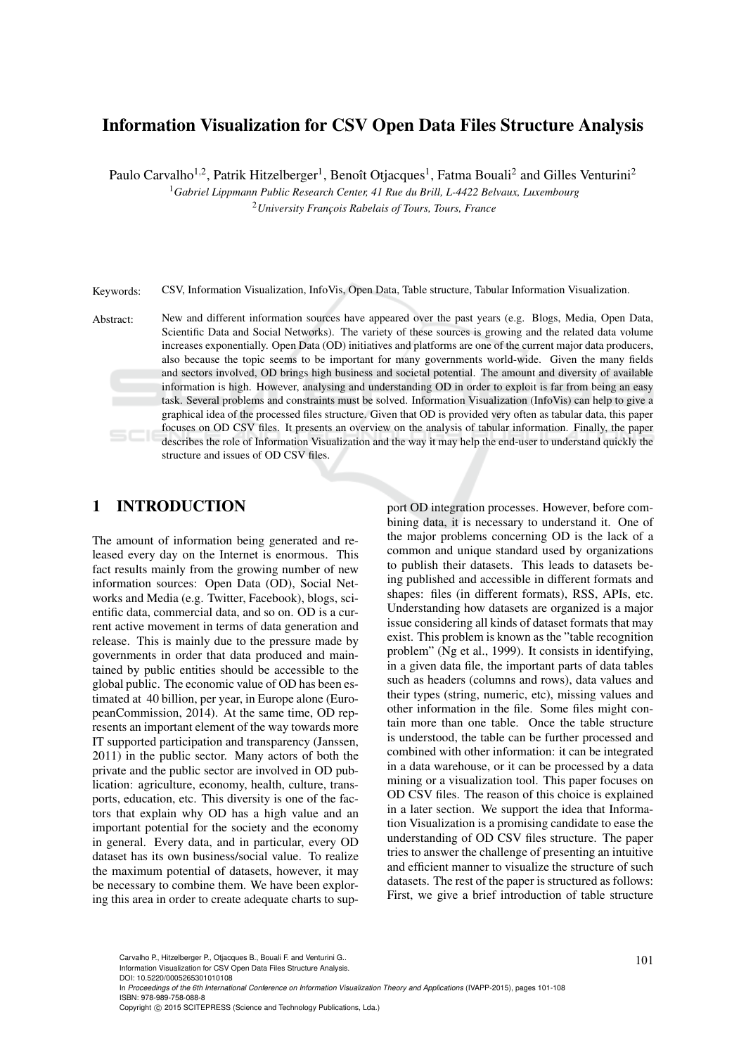# Information Visualization for CSV Open Data Files Structure Analysis

Paulo Carvalho<sup>1,2</sup>, Patrik Hitzelberger<sup>1</sup>, Benoît Otjacques<sup>1</sup>, Fatma Bouali<sup>2</sup> and Gilles Venturini<sup>2</sup>

<sup>1</sup>*Gabriel Lippmann Public Research Center, 41 Rue du Brill, L-4422 Belvaux, Luxembourg*

<sup>2</sup> University Francois Rabelais of Tours, Tours, France

Keywords: CSV, Information Visualization, InfoVis, Open Data, Table structure, Tabular Information Visualization.

Abstract: New and different information sources have appeared over the past years (e.g. Blogs, Media, Open Data, Scientific Data and Social Networks). The variety of these sources is growing and the related data volume increases exponentially. Open Data (OD) initiatives and platforms are one of the current major data producers, also because the topic seems to be important for many governments world-wide. Given the many fields and sectors involved, OD brings high business and societal potential. The amount and diversity of available information is high. However, analysing and understanding OD in order to exploit is far from being an easy task. Several problems and constraints must be solved. Information Visualization (InfoVis) can help to give a graphical idea of the processed files structure. Given that OD is provided very often as tabular data, this paper focuses on OD CSV files. It presents an overview on the analysis of tabular information. Finally, the paper describes the role of Information Visualization and the way it may help the end-user to understand quickly the structure and issues of OD CSV files.

## 1 INTRODUCTION

The amount of information being generated and released every day on the Internet is enormous. This fact results mainly from the growing number of new information sources: Open Data (OD), Social Networks and Media (e.g. Twitter, Facebook), blogs, scientific data, commercial data, and so on. OD is a current active movement in terms of data generation and release. This is mainly due to the pressure made by governments in order that data produced and maintained by public entities should be accessible to the global public. The economic value of OD has been estimated at 40 billion, per year, in Europe alone (EuropeanCommission, 2014). At the same time, OD represents an important element of the way towards more IT supported participation and transparency (Janssen, 2011) in the public sector. Many actors of both the private and the public sector are involved in OD publication: agriculture, economy, health, culture, transports, education, etc. This diversity is one of the factors that explain why OD has a high value and an important potential for the society and the economy in general. Every data, and in particular, every OD dataset has its own business/social value. To realize the maximum potential of datasets, however, it may be necessary to combine them. We have been exploring this area in order to create adequate charts to sup-

port OD integration processes. However, before combining data, it is necessary to understand it. One of the major problems concerning OD is the lack of a common and unique standard used by organizations to publish their datasets. This leads to datasets being published and accessible in different formats and shapes: files (in different formats), RSS, APIs, etc. Understanding how datasets are organized is a major issue considering all kinds of dataset formats that may exist. This problem is known as the "table recognition problem" (Ng et al., 1999). It consists in identifying, in a given data file, the important parts of data tables such as headers (columns and rows), data values and their types (string, numeric, etc), missing values and other information in the file. Some files might contain more than one table. Once the table structure is understood, the table can be further processed and combined with other information: it can be integrated in a data warehouse, or it can be processed by a data mining or a visualization tool. This paper focuses on OD CSV files. The reason of this choice is explained in a later section. We support the idea that Information Visualization is a promising candidate to ease the understanding of OD CSV files structure. The paper tries to answer the challenge of presenting an intuitive and efficient manner to visualize the structure of such datasets. The rest of the paper is structured as follows: First, we give a brief introduction of table structure

In *Proceedings of the 6th International Conference on Information Visualization Theory and Applications* (IVAPP-2015), pages 101-108 ISBN: 978-989-758-088-8

DOI: 10.5220/0005265301010108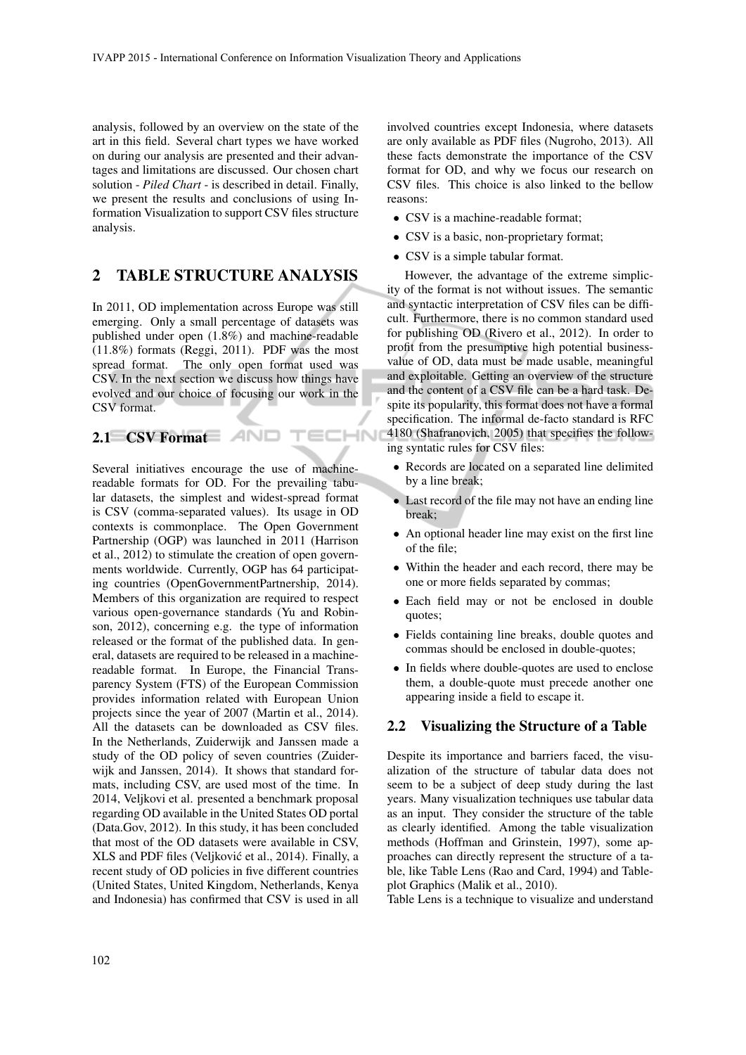-IN

analysis, followed by an overview on the state of the art in this field. Several chart types we have worked on during our analysis are presented and their advantages and limitations are discussed. Our chosen chart solution - *Piled Chart* - is described in detail. Finally, we present the results and conclusions of using Information Visualization to support CSV files structure analysis.

### 2 TABLE STRUCTURE ANALYSIS

In 2011, OD implementation across Europe was still emerging. Only a small percentage of datasets was published under open (1.8%) and machine-readable (11.8%) formats (Reggi, 2011). PDF was the most spread format. The only open format used was CSV. In the next section we discuss how things have evolved and our choice of focusing our work in the CSV format.

### 2.1 CSV Format AND

Several initiatives encourage the use of machinereadable formats for OD. For the prevailing tabular datasets, the simplest and widest-spread format is CSV (comma-separated values). Its usage in OD contexts is commonplace. The Open Government Partnership (OGP) was launched in 2011 (Harrison et al., 2012) to stimulate the creation of open governments worldwide. Currently, OGP has 64 participating countries (OpenGovernmentPartnership, 2014). Members of this organization are required to respect various open-governance standards (Yu and Robinson, 2012), concerning e.g. the type of information released or the format of the published data. In general, datasets are required to be released in a machinereadable format. In Europe, the Financial Transparency System (FTS) of the European Commission provides information related with European Union projects since the year of 2007 (Martin et al., 2014). All the datasets can be downloaded as CSV files. In the Netherlands, Zuiderwijk and Janssen made a study of the OD policy of seven countries (Zuiderwijk and Janssen, 2014). It shows that standard formats, including CSV, are used most of the time. In 2014, Veljkovi et al. presented a benchmark proposal regarding OD available in the United States OD portal (Data.Gov, 2012). In this study, it has been concluded that most of the OD datasets were available in CSV, XLS and PDF files (Veljkovic et al., 2014). Finally, a ´ recent study of OD policies in five different countries (United States, United Kingdom, Netherlands, Kenya and Indonesia) has confirmed that CSV is used in all

involved countries except Indonesia, where datasets are only available as PDF files (Nugroho, 2013). All these facts demonstrate the importance of the CSV format for OD, and why we focus our research on CSV files. This choice is also linked to the bellow reasons:

- CSV is a machine-readable format:
- CSV is a basic, non-proprietary format;
- CSV is a simple tabular format.

However, the advantage of the extreme simplicity of the format is not without issues. The semantic and syntactic interpretation of CSV files can be difficult. Furthermore, there is no common standard used for publishing OD (Rivero et al., 2012). In order to profit from the presumptive high potential businessvalue of OD, data must be made usable, meaningful and exploitable. Getting an overview of the structure and the content of a CSV file can be a hard task. Despite its popularity, this format does not have a formal specification. The informal de-facto standard is RFC 4180 (Shafranovich, 2005) that specifies the following syntatic rules for CSV files:

- Records are located on a separated line delimited by a line break;
- Last record of the file may not have an ending line break;
- An optional header line may exist on the first line of the file;
- Within the header and each record, there may be one or more fields separated by commas;
- Each field may or not be enclosed in double quotes;
- Fields containing line breaks, double quotes and commas should be enclosed in double-quotes;
- In fields where double-quotes are used to enclose them, a double-quote must precede another one appearing inside a field to escape it.

#### 2.2 Visualizing the Structure of a Table

Despite its importance and barriers faced, the visualization of the structure of tabular data does not seem to be a subject of deep study during the last years. Many visualization techniques use tabular data as an input. They consider the structure of the table as clearly identified. Among the table visualization methods (Hoffman and Grinstein, 1997), some approaches can directly represent the structure of a table, like Table Lens (Rao and Card, 1994) and Tableplot Graphics (Malik et al., 2010).

Table Lens is a technique to visualize and understand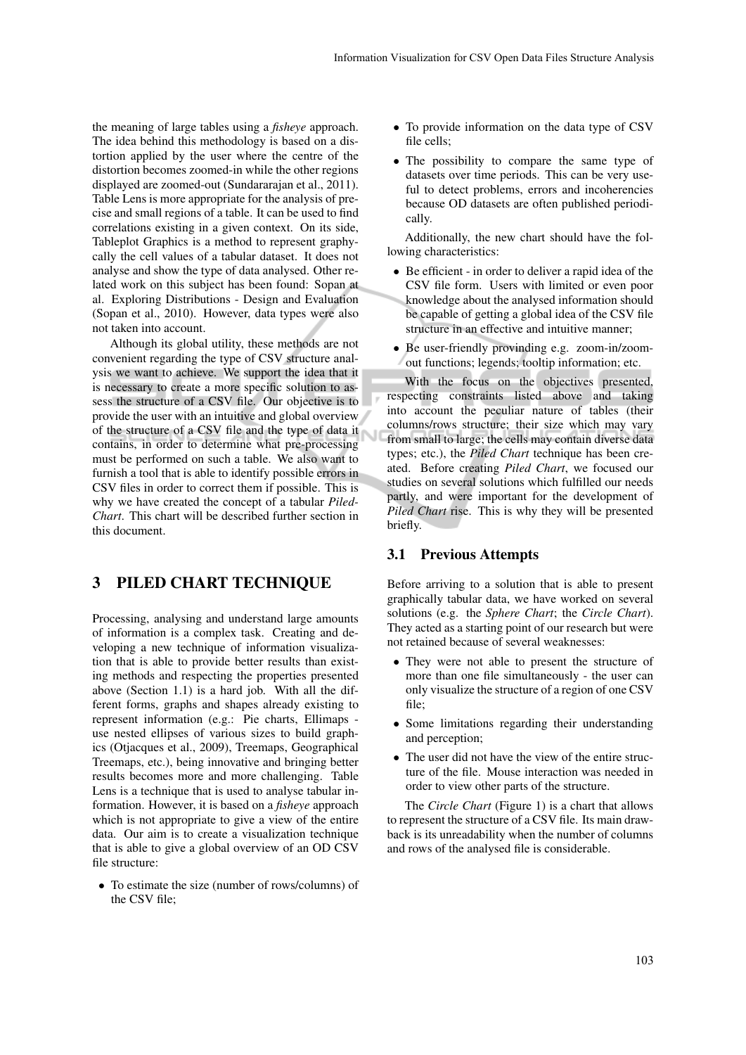the meaning of large tables using a *fisheye* approach. The idea behind this methodology is based on a distortion applied by the user where the centre of the distortion becomes zoomed-in while the other regions displayed are zoomed-out (Sundararajan et al., 2011). Table Lens is more appropriate for the analysis of precise and small regions of a table. It can be used to find correlations existing in a given context. On its side, Tableplot Graphics is a method to represent graphycally the cell values of a tabular dataset. It does not analyse and show the type of data analysed. Other related work on this subject has been found: Sopan at al. Exploring Distributions - Design and Evaluation (Sopan et al., 2010). However, data types were also not taken into account.

Although its global utility, these methods are not convenient regarding the type of CSV structure analysis we want to achieve. We support the idea that it is necessary to create a more specific solution to assess the structure of a CSV file. Our objective is to provide the user with an intuitive and global overview of the structure of a CSV file and the type of data it contains, in order to determine what pre-processing must be performed on such a table. We also want to furnish a tool that is able to identify possible errors in CSV files in order to correct them if possible. This is why we have created the concept of a tabular *Piled-Chart*. This chart will be described further section in this document.

### 3 PILED CHART TECHNIQUE

Processing, analysing and understand large amounts of information is a complex task. Creating and developing a new technique of information visualization that is able to provide better results than existing methods and respecting the properties presented above (Section 1.1) is a hard job. With all the different forms, graphs and shapes already existing to represent information (e.g.: Pie charts, Ellimaps use nested ellipses of various sizes to build graphics (Otjacques et al., 2009), Treemaps, Geographical Treemaps, etc.), being innovative and bringing better results becomes more and more challenging. Table Lens is a technique that is used to analyse tabular information. However, it is based on a *fisheye* approach which is not appropriate to give a view of the entire data. Our aim is to create a visualization technique that is able to give a global overview of an OD CSV file structure:

• To estimate the size (number of rows/columns) of the CSV file;

- To provide information on the data type of CSV file cells;
- The possibility to compare the same type of datasets over time periods. This can be very useful to detect problems, errors and incoherencies because OD datasets are often published periodically.

Additionally, the new chart should have the following characteristics:

- Be efficient in order to deliver a rapid idea of the CSV file form. Users with limited or even poor knowledge about the analysed information should be capable of getting a global idea of the CSV file structure in an effective and intuitive manner;
- Be user-friendly provinding e.g. zoom-in/zoomout functions; legends; tooltip information; etc.

With the focus on the objectives presented, respecting constraints listed above and taking into account the peculiar nature of tables (their columns/rows structure; their size which may vary from small to large; the cells may contain diverse data types; etc.), the *Piled Chart* technique has been created. Before creating *Piled Chart*, we focused our studies on several solutions which fulfilled our needs partly, and were important for the development of *Piled Chart* rise. This is why they will be presented briefly.

#### 3.1 Previous Attempts

Before arriving to a solution that is able to present graphically tabular data, we have worked on several solutions (e.g. the *Sphere Chart*; the *Circle Chart*). They acted as a starting point of our research but were not retained because of several weaknesses:

- They were not able to present the structure of more than one file simultaneously - the user can only visualize the structure of a region of one CSV file;
- Some limitations regarding their understanding and perception;
- The user did not have the view of the entire structure of the file. Mouse interaction was needed in order to view other parts of the structure.

The *Circle Chart* (Figure 1) is a chart that allows to represent the structure of a CSV file. Its main drawback is its unreadability when the number of columns and rows of the analysed file is considerable.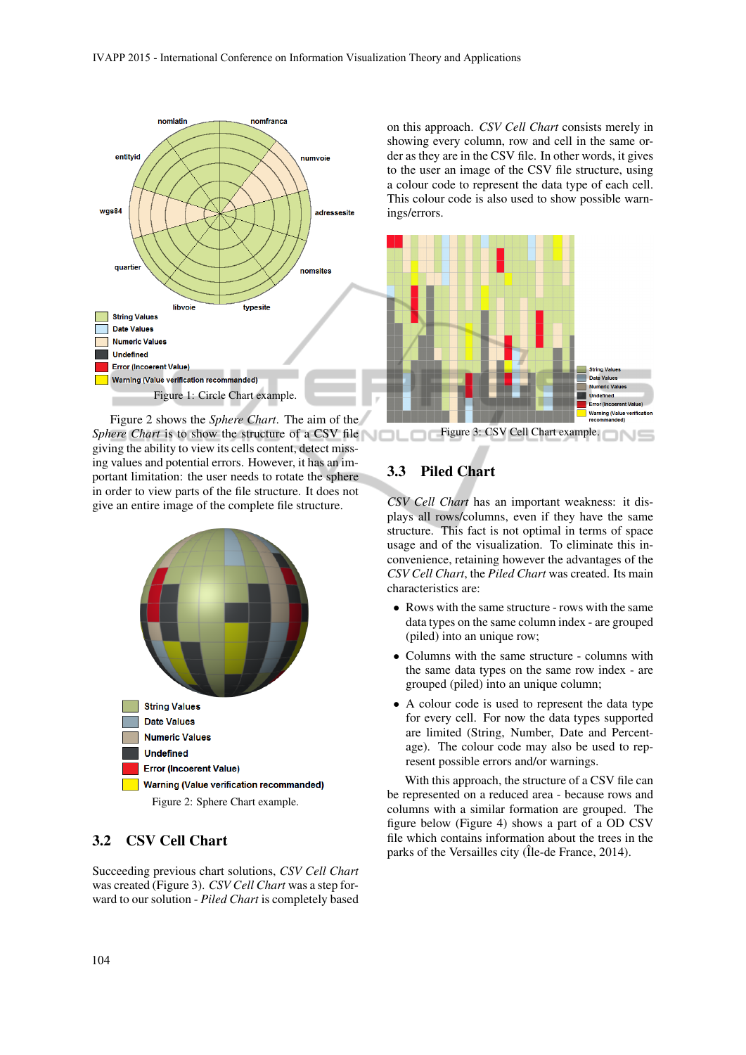

Figure 2 shows the *Sphere Chart*. The aim of the *Sphere Chart* is to show the structure of a CSV file giving the ability to view its cells content, detect missing values and potential errors. However, it has an important limitation: the user needs to rotate the sphere in order to view parts of the file structure. It does not give an entire image of the complete file structure.



#### 3.2 CSV Cell Chart

Succeeding previous chart solutions, *CSV Cell Chart* was created (Figure 3). *CSV Cell Chart* was a step forward to our solution - *Piled Chart* is completely based on this approach. *CSV Cell Chart* consists merely in showing every column, row and cell in the same order as they are in the CSV file. In other words, it gives to the user an image of the CSV file structure, using a colour code to represent the data type of each cell. This colour code is also used to show possible warnings/errors.



Figure 3: CSV Cell Chart example.

### 3.3 Piled Chart

*CSV Cell Chart* has an important weakness: it displays all rows/columns, even if they have the same structure. This fact is not optimal in terms of space usage and of the visualization. To eliminate this inconvenience, retaining however the advantages of the *CSV Cell Chart*, the *Piled Chart* was created. Its main characteristics are:

- Rows with the same structure rows with the same data types on the same column index - are grouped (piled) into an unique row;
- Columns with the same structure columns with the same data types on the same row index - are grouped (piled) into an unique column;
- A colour code is used to represent the data type for every cell. For now the data types supported are limited (String, Number, Date and Percentage). The colour code may also be used to represent possible errors and/or warnings.

With this approach, the structure of a CSV file can be represented on a reduced area - because rows and columns with a similar formation are grouped. The figure below (Figure 4) shows a part of a OD CSV file which contains information about the trees in the parks of the Versailles city (Île-de France, 2014).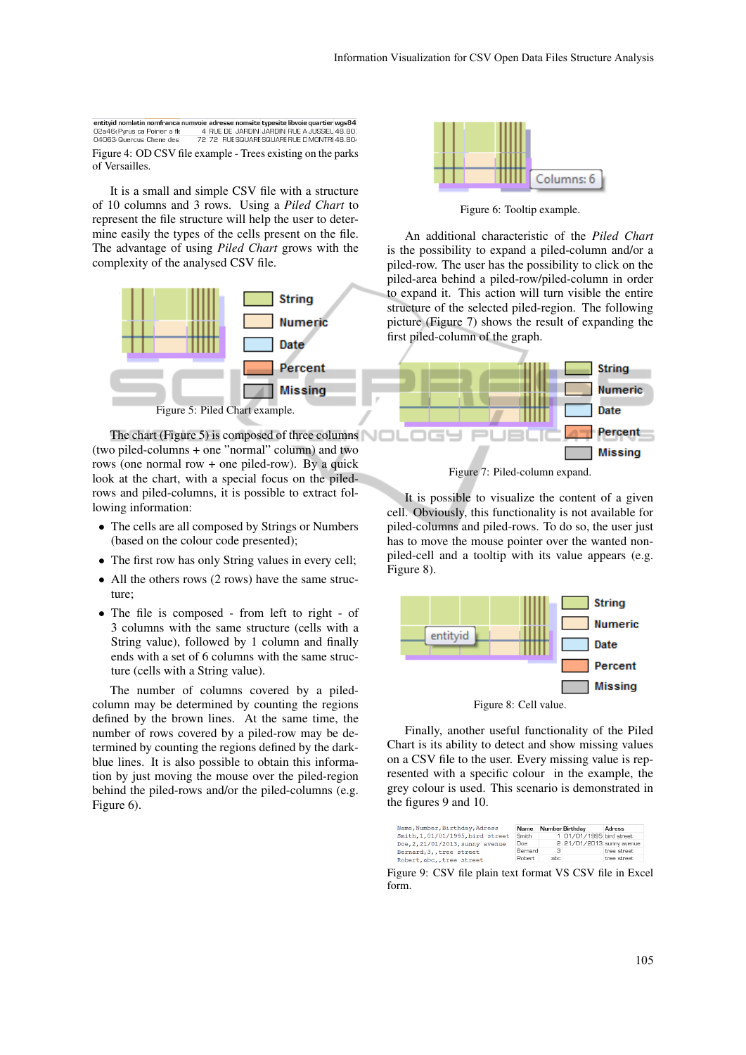entityid nomlatin nomfranca numvoie adresse nomsite typesite libvoie quartier wgs84<br>02a46(Pyrus ca Poirier a fk d RUE DE JARDIN JARDIN RUE A JUSSIEL 48.80) 04063 Quercus Chene des 72 72 RUE SQUARE SQUARE RUE D MONTRE 48.804 Figure 4: OD CSV file example - Trees existing on the parks of Versailles.

It is a small and simple CSV file with a structure of 10 columns and 3 rows. Using a *Piled Chart* to represent the file structure will help the user to determine easily the types of the cells present on the file. The advantage of using *Piled Chart* grows with the complexity of the analysed CSV file.



The chart (Figure 5) is composed of three columns (two piled-columns + one "normal" column) and two rows (one normal row  $+$  one piled-row). By a quick look at the chart, with a special focus on the piledrows and piled-columns, it is possible to extract following information:

- The cells are all composed by Strings or Numbers (based on the colour code presented);
- The first row has only String values in every cell;
- All the others rows (2 rows) have the same structure;
- The file is composed from left to right of 3 columns with the same structure (cells with a String value), followed by 1 column and finally ends with a set of 6 columns with the same structure (cells with a String value).

The number of columns covered by a piledcolumn may be determined by counting the regions defined by the brown lines. At the same time, the number of rows covered by a piled-row may be determined by counting the regions defined by the darkblue lines. It is also possible to obtain this information by just moving the mouse over the piled-region behind the piled-rows and/or the piled-columns (e.g. Figure 6).



Figure 6: Tooltip example.

An additional characteristic of the *Piled Chart* is the possibility to expand a piled-column and/or a piled-row. The user has the possibility to click on the piled-area behind a piled-row/piled-column in order to expand it. This action will turn visible the entire structure of the selected piled-region. The following picture (Figure 7) shows the result of expanding the first piled-column of the graph.



Figure 7: Piled-column expand.

It is possible to visualize the content of a given cell. Obviously, this functionality is not available for piled-columns and piled-rows. To do so, the user just has to move the mouse pointer over the wanted nonpiled-cell and a tooltip with its value appears (e.g. Figure 8).



Finally, another useful functionality of the Piled Chart is its ability to detect and show missing values on a CSV file to the user. Every missing value is represented with a specific colour in the example, the grey colour is used. This scenario is demonstrated in the figures 9 and 10.

|                                  |         |      | Number Birthday           | Adress       |
|----------------------------------|---------|------|---------------------------|--------------|
| Smith.1.01/01/1995.bird street   | Smith   |      | 1 01/01/1995 bird street  |              |
| Doe, 2, 21/01/2013, sunny avenue | Doe     |      | 2 21/01/2013 sunny avenue |              |
| Bernard, 3, , tree street        | Bernard | -3-  |                           | tree street  |
| Robert, abc., tree street        | Robert. | abc. |                           | tree street. |

Figure 9: CSV file plain text format VS CSV file in Excel form.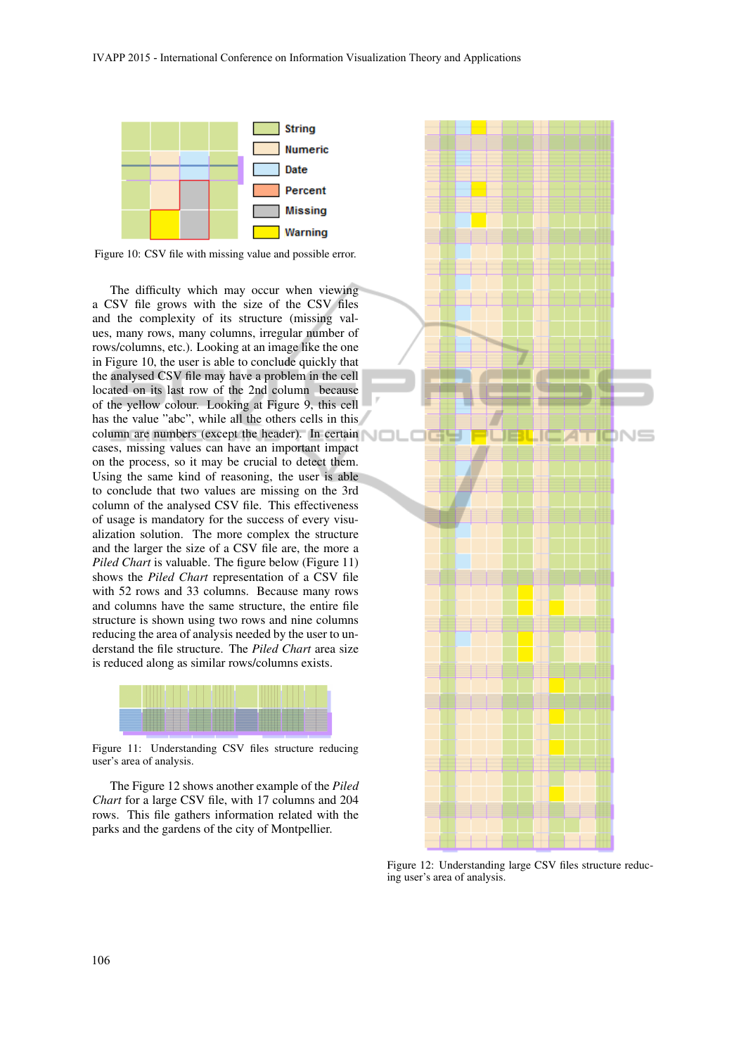

Figure 10: CSV file with missing value and possible error.

The difficulty which may occur when viewing a CSV file grows with the size of the CSV files and the complexity of its structure (missing values, many rows, many columns, irregular number of rows/columns, etc.). Looking at an image like the one in Figure 10, the user is able to conclude quickly that the analysed CSV file may have a problem in the cell located on its last row of the 2nd column because of the yellow colour. Looking at Figure 9, this cell has the value "abc", while all the others cells in this column are numbers (except the header). In certain cases, missing values can have an important impact on the process, so it may be crucial to detect them. Using the same kind of reasoning, the user is able to conclude that two values are missing on the 3rd column of the analysed CSV file. This effectiveness of usage is mandatory for the success of every visualization solution. The more complex the structure and the larger the size of a CSV file are, the more a *Piled Chart* is valuable. The figure below (Figure 11) shows the *Piled Chart* representation of a CSV file with 52 rows and 33 columns. Because many rows and columns have the same structure, the entire file structure is shown using two rows and nine columns reducing the area of analysis needed by the user to understand the file structure. The *Piled Chart* area size is reduced along as similar rows/columns exists.



Figure 11: Understanding CSV files structure reducing user's area of analysis.

The Figure 12 shows another example of the *Piled Chart* for a large CSV file, with 17 columns and 204 rows. This file gathers information related with the parks and the gardens of the city of Montpellier.



Figure 12: Understanding large CSV files structure reducing user's area of analysis.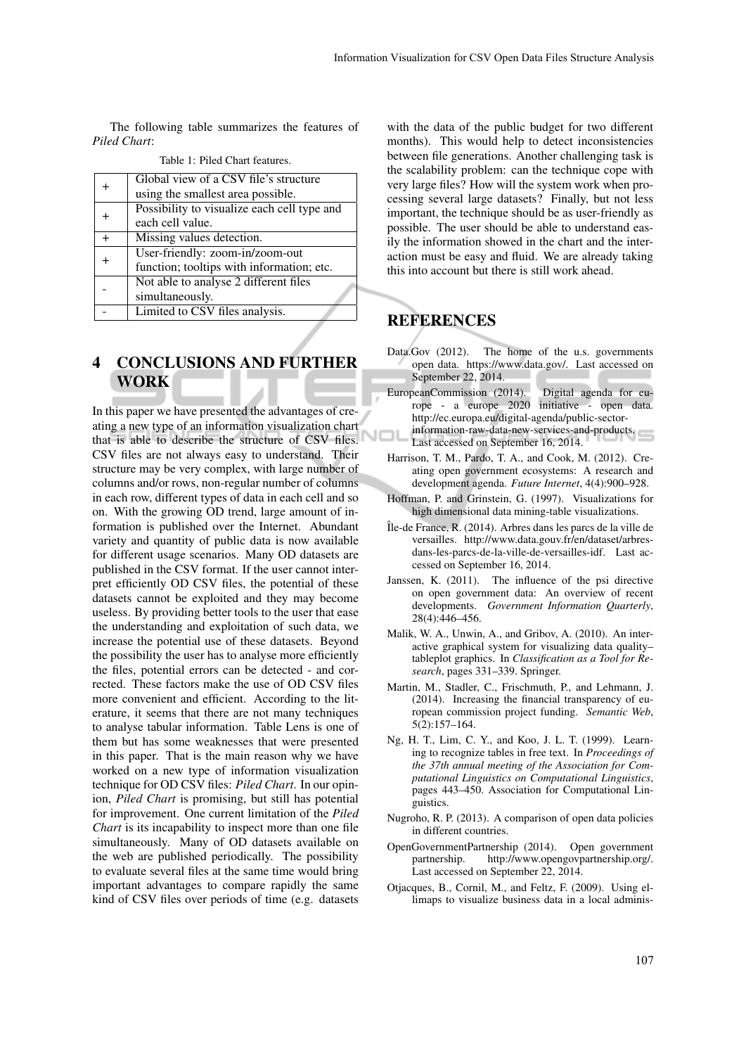The following table summarizes the features of *Piled Chart*:

|        | Global view of a CSV file's structure       |
|--------|---------------------------------------------|
|        | using the smallest area possible.           |
|        | Possibility to visualize each cell type and |
|        | each cell value.                            |
| $^{+}$ | Missing values detection.                   |
|        | User-friendly: zoom-in/zoom-out             |
|        | function; tooltips with information; etc.   |
|        | Not able to analyse 2 different files       |
|        | simultaneously.                             |
|        | Limited to CSV files analysis.              |
|        |                                             |

| Table 1: Piled Chart features. |  |  |  |  |  |
|--------------------------------|--|--|--|--|--|
|--------------------------------|--|--|--|--|--|

# 4 CONCLUSIONS AND FURTHER WORK

In this paper we have presented the advantages of creating a new type of an information visualization chart that is able to describe the structure of CSV files. CSV files are not always easy to understand. Their structure may be very complex, with large number of columns and/or rows, non-regular number of columns in each row, different types of data in each cell and so on. With the growing OD trend, large amount of information is published over the Internet. Abundant variety and quantity of public data is now available for different usage scenarios. Many OD datasets are published in the CSV format. If the user cannot interpret efficiently OD CSV files, the potential of these datasets cannot be exploited and they may become useless. By providing better tools to the user that ease the understanding and exploitation of such data, we increase the potential use of these datasets. Beyond the possibility the user has to analyse more efficiently the files, potential errors can be detected - and corrected. These factors make the use of OD CSV files more convenient and efficient. According to the literature, it seems that there are not many techniques to analyse tabular information. Table Lens is one of them but has some weaknesses that were presented in this paper. That is the main reason why we have worked on a new type of information visualization technique for OD CSV files: *Piled Chart*. In our opinion, *Piled Chart* is promising, but still has potential for improvement. One current limitation of the *Piled Chart* is its incapability to inspect more than one file simultaneously. Many of OD datasets available on the web are published periodically. The possibility to evaluate several files at the same time would bring important advantages to compare rapidly the same kind of CSV files over periods of time (e.g. datasets

with the data of the public budget for two different months). This would help to detect inconsistencies between file generations. Another challenging task is the scalability problem: can the technique cope with very large files? How will the system work when processing several large datasets? Finally, but not less important, the technique should be as user-friendly as possible. The user should be able to understand easily the information showed in the chart and the interaction must be easy and fluid. We are already taking this into account but there is still work ahead.

## REFERENCES

- Data.Gov (2012). The home of the u.s. governments open data. https://www.data.gov/. Last accessed on September 22, 2014.
- EuropeanCommission (2014). Digital agenda for europe - a europe 2020 initiative - open data. http://ec.europa.eu/digital-agenda/public-sectorinformation-raw-data-new-services-and-products.
- Last accessed on September 16, 2014.
- Harrison, T. M., Pardo, T. A., and Cook, M. (2012). Creating open government ecosystems: A research and development agenda. *Future Internet*, 4(4):900–928.
- Hoffman, P. and Grinstein, G. (1997). Visualizations for high dimensional data mining-table visualizations.
- ˆIle-de France, R. (2014). Arbres dans les parcs de la ville de versailles. http://www.data.gouv.fr/en/dataset/arbresdans-les-parcs-de-la-ville-de-versailles-idf. Last accessed on September 16, 2014.
- Janssen, K. (2011). The influence of the psi directive on open government data: An overview of recent developments. *Government Information Quarterly*, 28(4):446–456.
- Malik, W. A., Unwin, A., and Gribov, A. (2010). An interactive graphical system for visualizing data quality– tableplot graphics. In *Classification as a Tool for Research*, pages 331–339. Springer.
- Martin, M., Stadler, C., Frischmuth, P., and Lehmann, J. (2014). Increasing the financial transparency of european commission project funding. *Semantic Web*, 5(2):157–164.
- Ng, H. T., Lim, C. Y., and Koo, J. L. T. (1999). Learning to recognize tables in free text. In *Proceedings of the 37th annual meeting of the Association for Computational Linguistics on Computational Linguistics*, pages 443–450. Association for Computational Linguistics.
- Nugroho, R. P. (2013). A comparison of open data policies in different countries.
- OpenGovernmentPartnership (2014). Open government partnership. http://www.opengovpartnership.org/. Last accessed on September 22, 2014.
- Otjacques, B., Cornil, M., and Feltz, F. (2009). Using ellimaps to visualize business data in a local adminis-